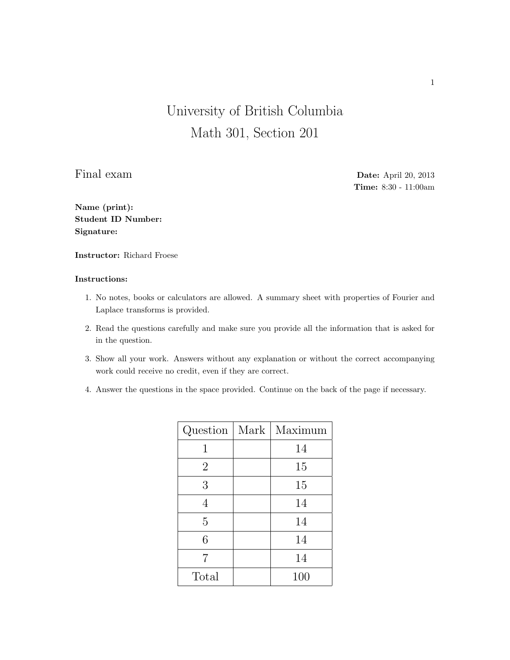## University of British Columbia Math 301, Section 201

Final exam Date: April 20, 2013 Time: 8:30 - 11:00am

Name (print): Student ID Number: Signature:

Instructor: Richard Froese

## Instructions:

- 1. No notes, books or calculators are allowed. A summary sheet with properties of Fourier and Laplace transforms is provided.
- 2. Read the questions carefully and make sure you provide all the information that is asked for in the question.
- 3. Show all your work. Answers without any explanation or without the correct accompanying work could receive no credit, even if they are correct.
- 4. Answer the questions in the space provided. Continue on the back of the page if necessary.

| Question       | Mark | Maximum |
|----------------|------|---------|
| 1              |      | 14      |
| $\overline{2}$ |      | 15      |
| 3              |      | 15      |
| 4              |      | 14      |
| 5              |      | 14      |
| 6              |      | 14      |
| 7              |      | 14      |
| Total          |      | 100     |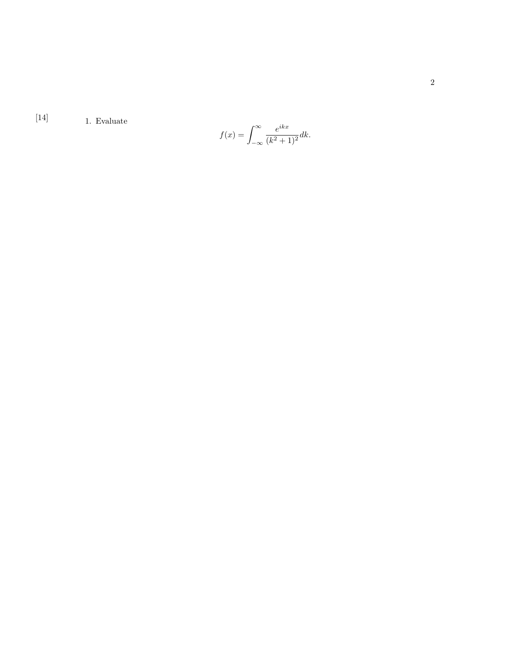[14]  $1. Evaluate$ 

$$
f(x) = \int_{-\infty}^{\infty} \frac{e^{ikx}}{(k^2 + 1)^2} dk.
$$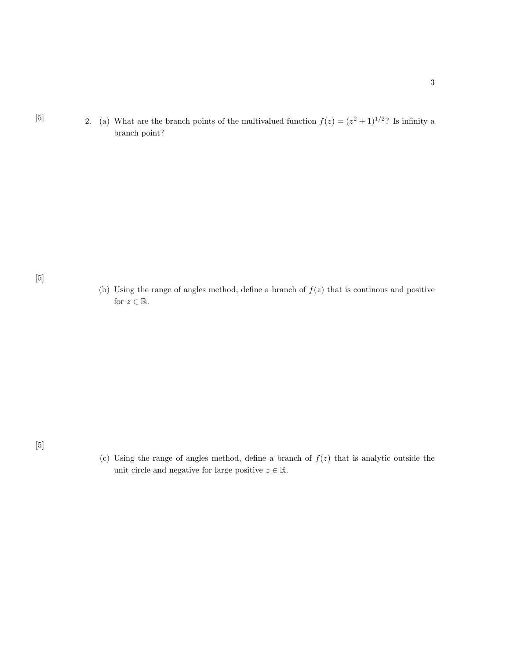[5] 2. (a) What are the branch points of the multivalued function  $f(z) = (z^2 + 1)^{1/2}$ ? Is infinity a branch point?

[5]

(b) Using the range of angles method, define a branch of  $f(z)$  that is continous and positive for  $z \in \mathbb{R}$ .

[5]

(c) Using the range of angles method, define a branch of  $f(z)$  that is analytic outside the unit circle and negative for large positive  $z \in \mathbb{R}$ .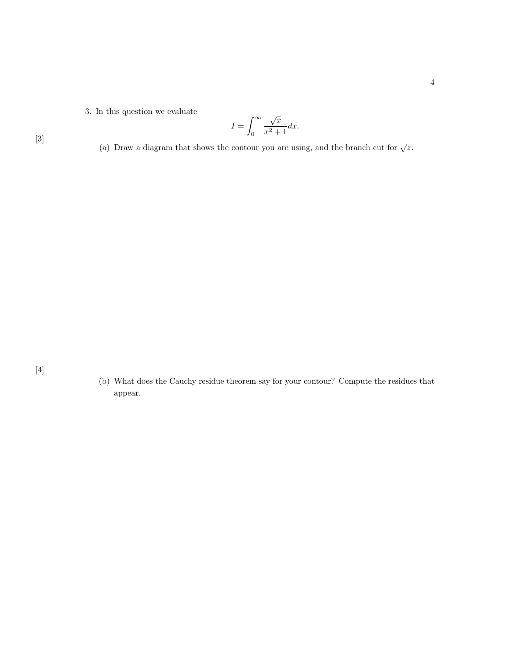3. In this question we evaluate

$$
I = \int_0^\infty \frac{\sqrt{x}}{x^2 + 1} dx.
$$

[3]

(a) Draw a diagram that shows the contour you are using, and the branch cut for  $\sqrt{z}$ .

(b) What does the Cauchy residue theorem say for your contour? Compute the residues that appear.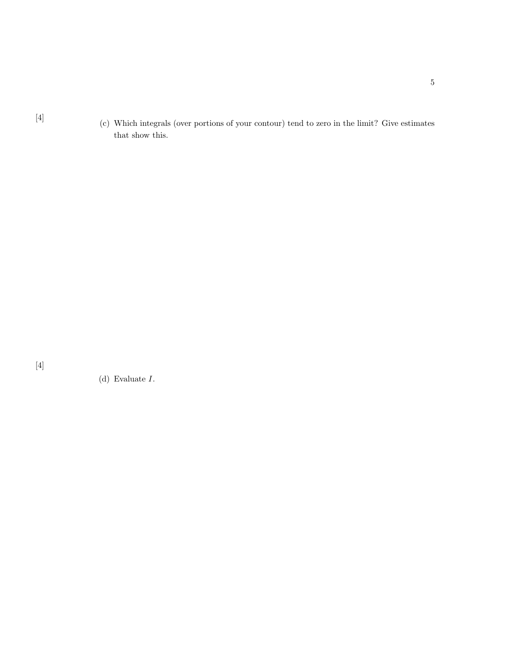[4] (c) Which integrals (over portions of your contour) tend to zero in the limit? Give estimates that show this.

[4]

(d) Evaluate I.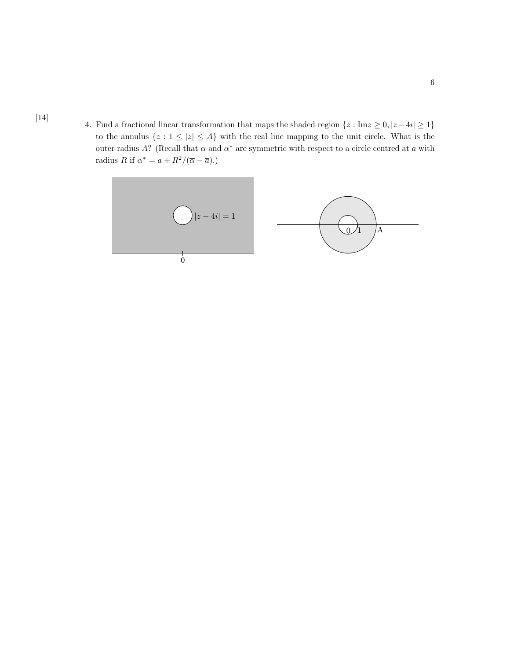4. Find a fractional linear transformation that maps the shaded region  $\{z : \text{Im} z \ge 0, |z - 4i| \ge 1\}$ to the annulus  $\{z : 1 \leq |z| \leq A\}$  with the real line mapping to the unit circle. What is the outer radius A? (Recall that  $\alpha$  and  $\alpha^*$  are symmetric with respect to a circle centred at  $a$  with radius R if  $\alpha^* = a + R^2/(\overline{\alpha} - \overline{a}).$ 

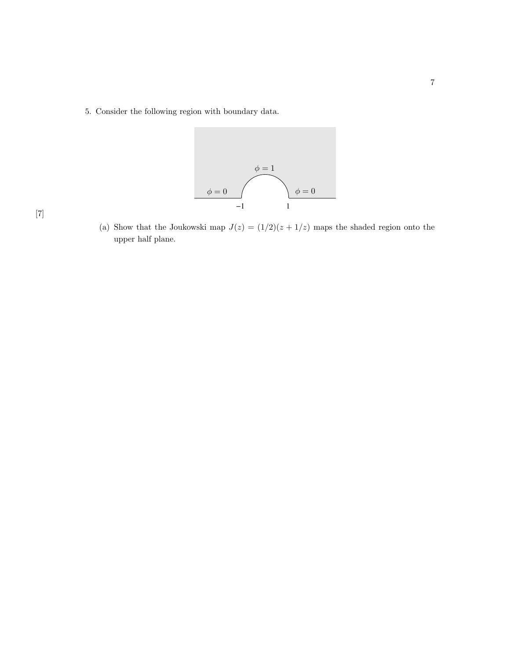5. Consider the following region with boundary data.



(a) Show that the Joukowski map  $J(z) = (1/2)(z + 1/z)$  maps the shaded region onto the unper helf plane. upper half plane.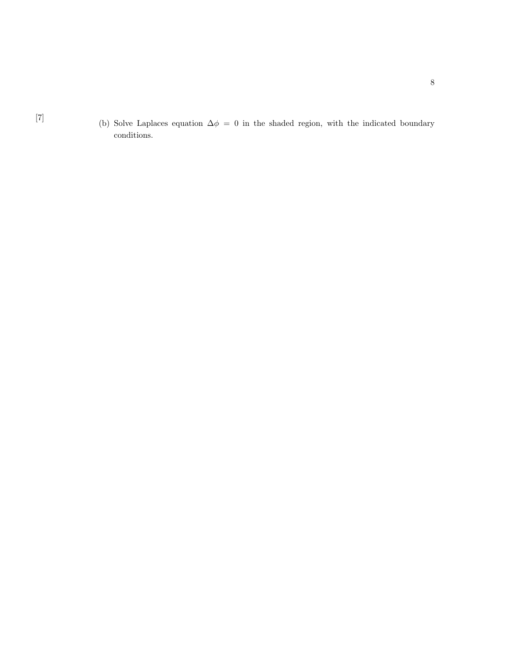[7] (b) Solve Laplaces equation  $\Delta \phi = 0$  in the shaded region, with the indicated boundary conditions.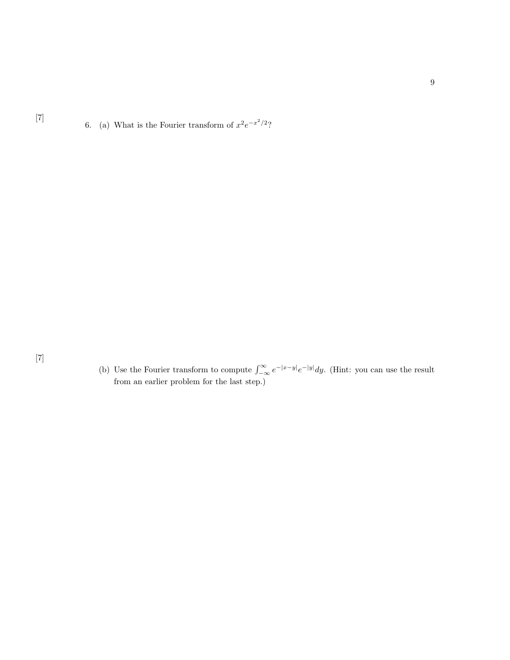[7]

6. (a) What is the Fourier transform of  $x^2e^{-x^2/2}$ ?

(b) Use the Fourier transform to compute  $\int_{-\infty}^{\infty} e^{-|x-y|} e^{-|y|} dy$ . (Hint: you can use the result from an earlier problem for the last step.)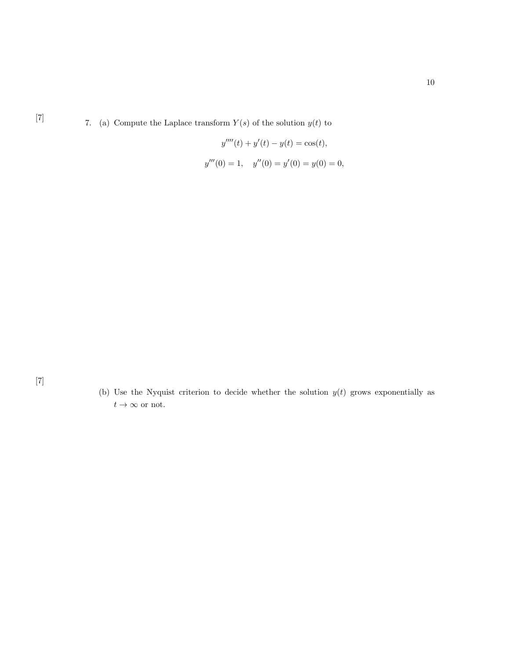[7] 7. (a) Compute the Laplace transform  $Y(s)$  of the solution  $y(t)$  to

$$
y''''(t) + y'(t) - y(t) = \cos(t),
$$
  

$$
y'''(0) = 1, \quad y''(0) = y'(0) = y(0) = 0,
$$

[7]

(b) Use the Nyquist criterion to decide whether the solution  $y(t)$  grows exponentially as  $t\rightarrow\infty$  or not.